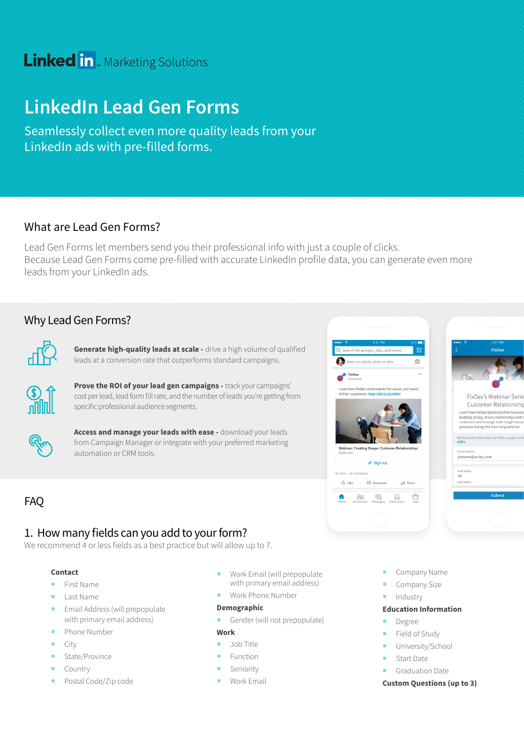# **Linked in** . Marketing Solutions

# **LinkedIn Lead Gen Forms**

Seamlessly collect even more quality leads from your LinkedIn ads with pre-filled forms.

### What are Lead Gen Forms?

Lead Gen Forms let members send you their professional info with just a couple of clicks. Because Lead Gen Forms come pre-filled with accurate LinkedIn profile data, you can generate even more leads from your LinkedIn ads.

## Why Lead Gen Forms?



**Generate high-quality leads at scale -** drive a high volume of qualified leads at a conversion rate that outperforms standard campaigns.



**Prove the ROI of your lead gen campaigns -** track your campaigns' cost per lead, lead form fill rate, and the number of leads you're getting from specific professional audience segments.



**Access and manage your leads with ease -** download your leads from Campaign Manager or integrate with your preferred marketing automation or CRM tools.

# FAQ

## 1. How many fields can you add to your form?

We recommend 4 or less fields as a best practice but will allow up to 7.

#### **Contact**

- **First Name**
- **Last Name**
- **Email Address (will prepopulate** with primary email address)
- Phone Number
- $\blacksquare$  City
- State/Province
- **Country**
- **Postal Code/Zip code**
- Work Email (will prepopulate with primary email address)
- **Work Phone Number**

#### **Demographic**

Gender (will not prepopulate)

#### **Work**

- **Job Title**
- Function
- **Seniority**
- Work Email
- Company Name
- Company Size
- Industry

#### **Education Information**

- Degree
- Field of Study
- University/School
- **Start Date**
- Graduation Date

#### **Custom Questions (up to 3)**